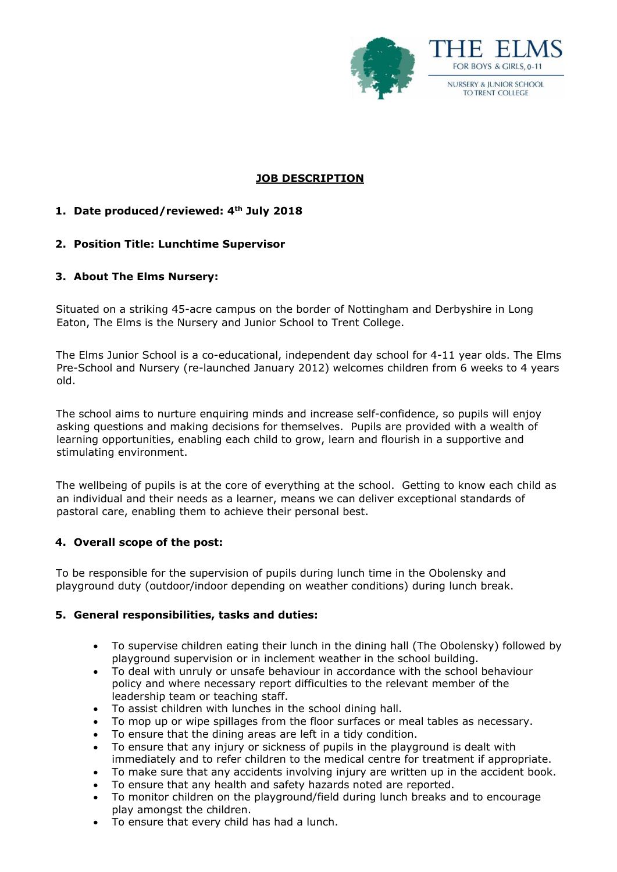

# **JOB DESCRIPTION**

## **1. Date produced/reviewed: 4th July 2018**

### **2. Position Title: Lunchtime Supervisor**

### **3. About The Elms Nursery:**

Situated on a striking 45-acre campus on the border of Nottingham and Derbyshire in Long Eaton, The Elms is the Nursery and Junior School to Trent College.

The Elms Junior School is a co-educational, independent day school for 4-11 year olds. The Elms Pre-School and Nursery (re-launched January 2012) welcomes children from 6 weeks to 4 years old.

The school aims to nurture enquiring minds and increase self-confidence, so pupils will enjoy asking questions and making decisions for themselves. Pupils are provided with a wealth of learning opportunities, enabling each child to grow, learn and flourish in a supportive and stimulating environment.

The wellbeing of pupils is at the core of everything at the school. Getting to know each child as an individual and their needs as a learner, means we can deliver exceptional standards of pastoral care, enabling them to achieve their personal best.

### **4. Overall scope of the post:**

To be responsible for the supervision of pupils during lunch time in the Obolensky and playground duty (outdoor/indoor depending on weather conditions) during lunch break.

### **5. General responsibilities, tasks and duties:**

- To supervise children eating their lunch in the dining hall (The Obolensky) followed by playground supervision or in inclement weather in the school building.
- To deal with unruly or unsafe behaviour in accordance with the school behaviour policy and where necessary report difficulties to the relevant member of the leadership team or teaching staff.
- To assist children with lunches in the school dining hall.
- To mop up or wipe spillages from the floor surfaces or meal tables as necessary.
- To ensure that the dining areas are left in a tidy condition.
- To ensure that any injury or sickness of pupils in the playground is dealt with immediately and to refer children to the medical centre for treatment if appropriate.
- To make sure that any accidents involving injury are written up in the accident book.
- To ensure that any health and safety hazards noted are reported.
- To monitor children on the playground/field during lunch breaks and to encourage play amongst the children.
- To ensure that every child has had a lunch.